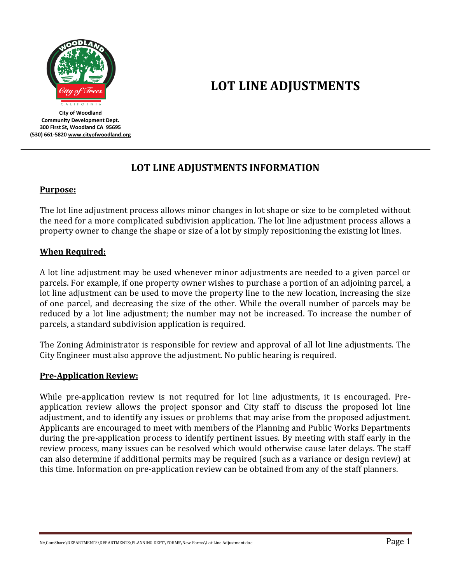

**LOT LINE ADJUSTMENTS**

**City of Woodland Community Development Dept. 300 First St, Woodland CA 95695 (530) 661-582[0 www.cityofwoodland.org](http://www.cityofwoodland.org/)**

# **LOT LINE ADJUSTMENTS INFORMATION**

#### **Purpose:**

The lot line adjustment process allows minor changes in lot shape or size to be completed without the need for a more complicated subdivision application. The lot line adjustment process allows a property owner to change the shape or size of a lot by simply repositioning the existing lot lines.

## **When Required:**

A lot line adjustment may be used whenever minor adjustments are needed to a given parcel or parcels. For example, if one property owner wishes to purchase a portion of an adjoining parcel, a lot line adjustment can be used to move the property line to the new location, increasing the size of one parcel, and decreasing the size of the other. While the overall number of parcels may be reduced by a lot line adjustment; the number may not be increased. To increase the number of parcels, a standard subdivision application is required.

The Zoning Administrator is responsible for review and approval of all lot line adjustments. The City Engineer must also approve the adjustment. No public hearing is required.

#### **Pre-Application Review:**

While pre-application review is not required for lot line adjustments, it is encouraged. Preapplication review allows the project sponsor and City staff to discuss the proposed lot line adjustment, and to identify any issues or problems that may arise from the proposed adjustment. Applicants are encouraged to meet with members of the Planning and Public Works Departments during the pre-application process to identify pertinent issues. By meeting with staff early in the review process, many issues can be resolved which would otherwise cause later delays. The staff can also determine if additional permits may be required (such as a variance or design review) at this time. Information on pre-application review can be obtained from any of the staff planners.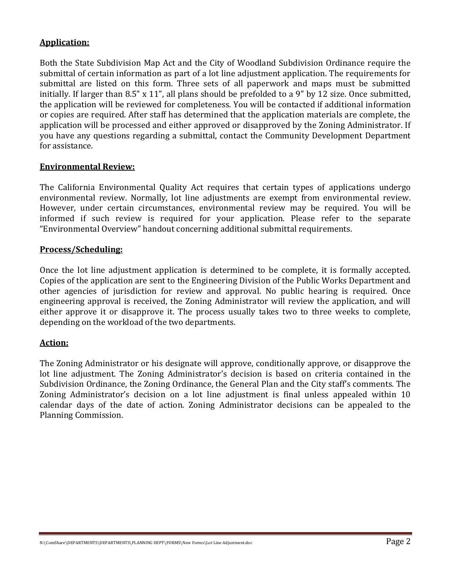## **Application:**

Both the State Subdivision Map Act and the City of Woodland Subdivision Ordinance require the submittal of certain information as part of a lot line adjustment application. The requirements for submittal are listed on this form. Three sets of all paperwork and maps must be submitted initially. If larger than 8.5" x 11", all plans should be prefolded to a 9" by 12 size. Once submitted, the application will be reviewed for completeness. You will be contacted if additional information or copies are required. After staff has determined that the application materials are complete, the application will be processed and either approved or disapproved by the Zoning Administrator. If you have any questions regarding a submittal, contact the Community Development Department for assistance.

#### **Environmental Review:**

The California Environmental Quality Act requires that certain types of applications undergo environmental review. Normally, lot line adjustments are exempt from environmental review. However, under certain circumstances, environmental review may be required. You will be informed if such review is required for your application. Please refer to the separate "Environmental Overview" handout concerning additional submittal requirements.

#### **Process/Scheduling:**

Once the lot line adjustment application is determined to be complete, it is formally accepted. Copies of the application are sent to the Engineering Division of the Public Works Department and other agencies of jurisdiction for review and approval. No public hearing is required. Once engineering approval is received, the Zoning Administrator will review the application, and will either approve it or disapprove it. The process usually takes two to three weeks to complete, depending on the workload of the two departments.

#### **Action:**

The Zoning Administrator or his designate will approve, conditionally approve, or disapprove the lot line adjustment. The Zoning Administrator's decision is based on criteria contained in the Subdivision Ordinance, the Zoning Ordinance, the General Plan and the City staff's comments. The Zoning Administrator's decision on a lot line adjustment is final unless appealed within 10 calendar days of the date of action. Zoning Administrator decisions can be appealed to the Planning Commission.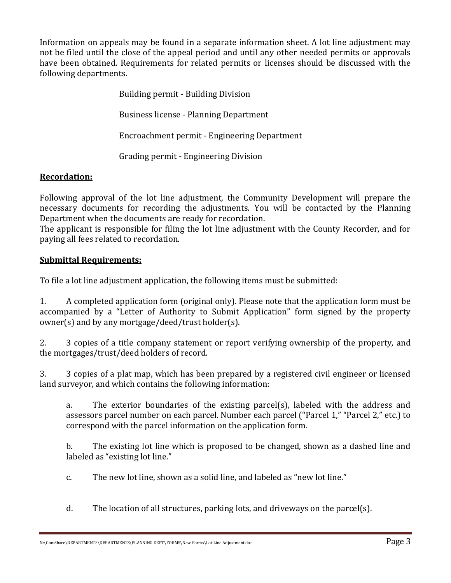Information on appeals may be found in a separate information sheet. A lot line adjustment may not be filed until the close of the appeal period and until any other needed permits or approvals have been obtained. Requirements for related permits or licenses should be discussed with the following departments.

> Building permit - Building Division Business license - Planning Department Encroachment permit - Engineering Department Grading permit - Engineering Division

# **Recordation:**

Following approval of the lot line adjustment, the Community Development will prepare the necessary documents for recording the adjustments. You will be contacted by the Planning Department when the documents are ready for recordation.

The applicant is responsible for filing the lot line adjustment with the County Recorder, and for paying all fees related to recordation.

## **Submittal Requirements:**

To file a lot line adjustment application, the following items must be submitted:

1. A completed application form (original only). Please note that the application form must be accompanied by a "Letter of Authority to Submit Application" form signed by the property owner(s) and by any mortgage/deed/trust holder(s).

2. 3 copies of a title company statement or report verifying ownership of the property, and the mortgages/trust/deed holders of record.

3. 3 copies of a plat map, which has been prepared by a registered civil engineer or licensed land surveyor, and which contains the following information:

a. The exterior boundaries of the existing parcel(s), labeled with the address and assessors parcel number on each parcel. Number each parcel ("Parcel 1," "Parcel 2," etc.) to correspond with the parcel information on the application form.

b. The existing lot line which is proposed to be changed, shown as a dashed line and labeled as "existing lot line."

c. The new lot line, shown as a solid line, and labeled as "new lot line."

d. The location of all structures, parking lots, and driveways on the parcel(s).